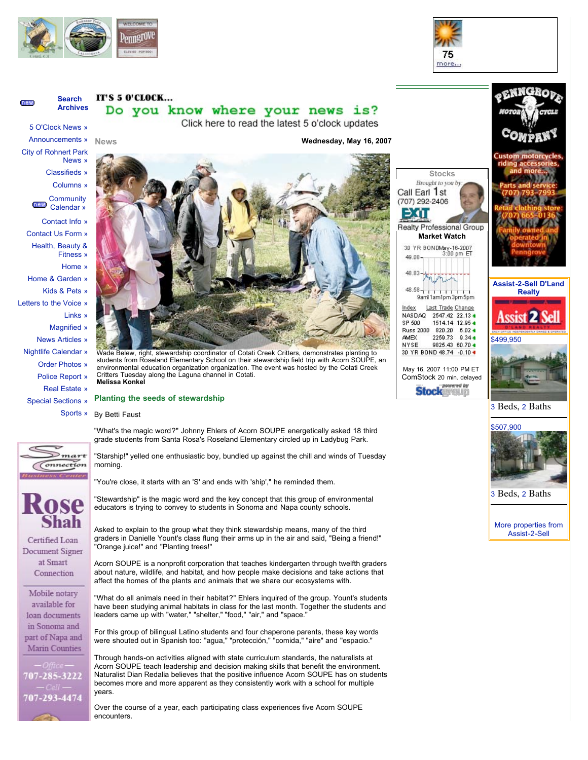